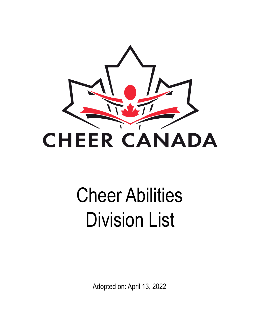

# Cheer Abilities Division List

Adopted on: April 13, 2022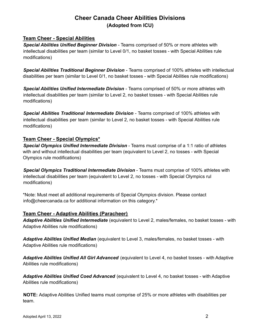# **Cheer Canada Cheer Abilities Divisions (Adopted from ICU)**

# **Team Cheer - Special Abilities**

*Special Abilities Unified Beginner Division* - Teams comprised of 50% or more athletes with intellectual disabilities per team (similar to Level 0/1, no basket tosses - with Special Abilities rule modifications)

*Special Abilities Traditional Beginner Division* - Teams comprised of 100% athletes with intellectual disabilities per team (similar to Level 0/1, no basket tosses - with Special Abilities rule modifications)

*Special Abilities Unified Intermediate Division* - Teams comprised of 50% or more athletes with intellectual disabilities per team (similar to Level 2, no basket tosses - with Special Abilities rule modifications)

*Special Abilities Traditional Intermediate Division* - Teams comprised of 100% athletes with intellectual disabilities per team (similar to Level 2, no basket tosses - with Special Abilities rule modifications)

# **Team Cheer - Special Olympics\***

*Special Olympics Unified Intermediate Division* - Teams must comprise of a 1:1 ratio of athletes with and without intellectual disabilities per team (equivalent to Level 2, no tosses - with Special Olympics rule modifications)

*Special Olympics Traditional Intermediate Division* - Teams must comprise of 100% athletes with intellectual disabilities per team (equivalent to Level 2, no tosses - with Special Olympics rul modifications)

\*Note: Must meet all additional requirements of Special Olympics division. Please contact info@cheercanada.ca for additional information on this category.\*

# **Team Cheer - Adaptive Abilities (Paracheer)**

*Adaptive Abilities Unified Intermediate* (equivalent to Level 2, males/females, no basket tosses - with Adaptive Abilities rule modifications)

*Adaptive Abilities Unified Median* (equivalent to Level 3, males/females, no basket tosses - with Adaptive Abilities rule modifications)

*Adaptive Abilities Unified All Girl Advanced* (equivalent to Level 4, no basket tosses - with Adaptive Abilities rule modifications)

*Adaptive Abilities Unified Coed Advanced* (equivalent to Level 4, no basket tosses - with Adaptive Abilities rule modifications)

**NOTE:** Adaptive Abilities Unified teams must comprise of 25% or more athletes with disabilities per team.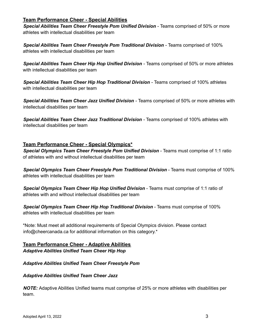# **Team Performance Cheer - Special Abilities**

*Special Abilities Team Cheer Freestyle Pom Unified Division* - Teams comprised of 50% or more athletes with intellectual disabilities per team

*Special Abilities Team Cheer Freestyle Pom Traditional Division* - Teams comprised of 100% athletes with intellectual disabilities per team

*Special Abilities Team Cheer Hip Hop Unified Division* - Teams comprised of 50% or more athletes with intellectual disabilities per team

*Special Abilities Team Cheer Hip Hop Traditional Division* - Teams comprised of 100% athletes with intellectual disabilities per team

*Special Abilities Team Cheer Jazz Unified Division* - Teams comprised of 50% or more athletes with intellectual disabilities per team

*Special Abilities Team Cheer Jazz Traditional Division* - Teams comprised of 100% athletes with intellectual disabilities per team

## **Team Performance Cheer - Special Olympics\***

*Special Olympics Team Cheer Freestyle Pom Unified Division* - Teams must comprise of 1:1 ratio of athletes with and without intellectual disabilities per team

*Special Olympics Team Cheer Freestyle Pom Traditional Division* - Teams must comprise of 100% athletes with intellectual disabilities per team

*Special Olympics Team Cheer Hip Hop Unified Division* - Teams must comprise of 1:1 ratio of athletes with and without intellectual disabilities per team

*Special Olympics Team Cheer Hip Hop Traditional Division* - Teams must comprise of 100% athletes with intellectual disabilities per team

\*Note: Must meet all additional requirements of Special Olympics division. Please contact info@cheercanada.ca for additional information on this category.\*

## **Team Performance Cheer - Adaptive Abilities** *Adaptive Abilities Unified Team Cheer Hip Hop*

#### *Adaptive Abilities Unified Team Cheer Freestyle Pom*

#### *Adaptive Abilities Unified Team Cheer Jazz*

*NOTE:* Adaptive Abilities Unified teams must comprise of 25% or more athletes with disabilities per team.